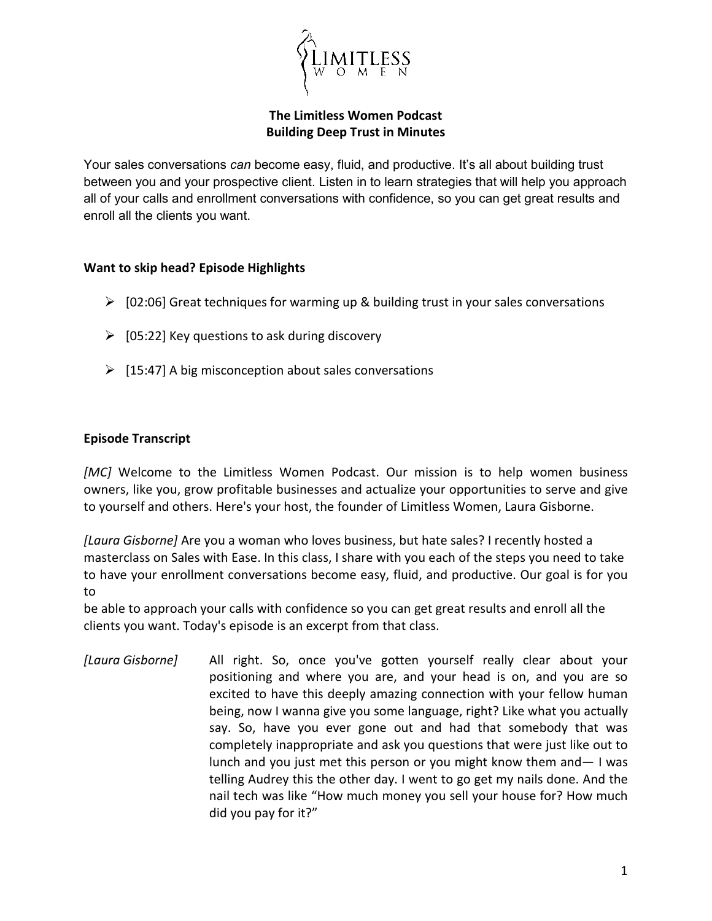

## **The Limitless Women Podcast Building Deep Trust in Minutes**

Your sales conversations *can* become easy, fluid, and productive. It's all about building trust between you and your prospective client. Listen in to learn strategies that will help you approach all of your calls and enrollment conversations with confidence, so you can get great results and enroll all the clients you want.

## **Want to skip head? Episode Highlights**

- $\triangleright$  [02:06] Great techniques for warming up & building trust in your sales conversations
- $\triangleright$  [05:22] Key questions to ask during discovery
- $\triangleright$  [15:47] A big misconception about sales conversations

## **Episode Transcript**

*[MC]* Welcome to the Limitless Women Podcast. Our mission is to help women business owners, like you, grow profitable businesses and actualize your opportunities to serve and give to yourself and others. Here's your host, the founder of Limitless Women, Laura Gisborne.

*[Laura Gisborne]* Are you a woman who loves business, but hate sales? I recently hosted a masterclass on Sales with Ease. In this class, I share with you each of the steps you need to take to have your enrollment conversations become easy, fluid, and productive. Our goal is for you to

be able to approach your calls with confidence so you can get great results and enroll all the clients you want. Today's episode is an excerpt from that class.

*[Laura Gisborne]* All right. So, once you've gotten yourself really clear about your positioning and where you are, and your head is on, and you are so excited to have this deeply amazing connection with your fellow human being, now I wanna give you some language, right? Like what you actually say. So, have you ever gone out and had that somebody that was completely inappropriate and ask you questions that were just like out to lunch and you just met this person or you might know them and— I was telling Audrey this the other day. I went to go get my nails done. And the nail tech was like "How much money you sell your house for? How much did you pay for it?"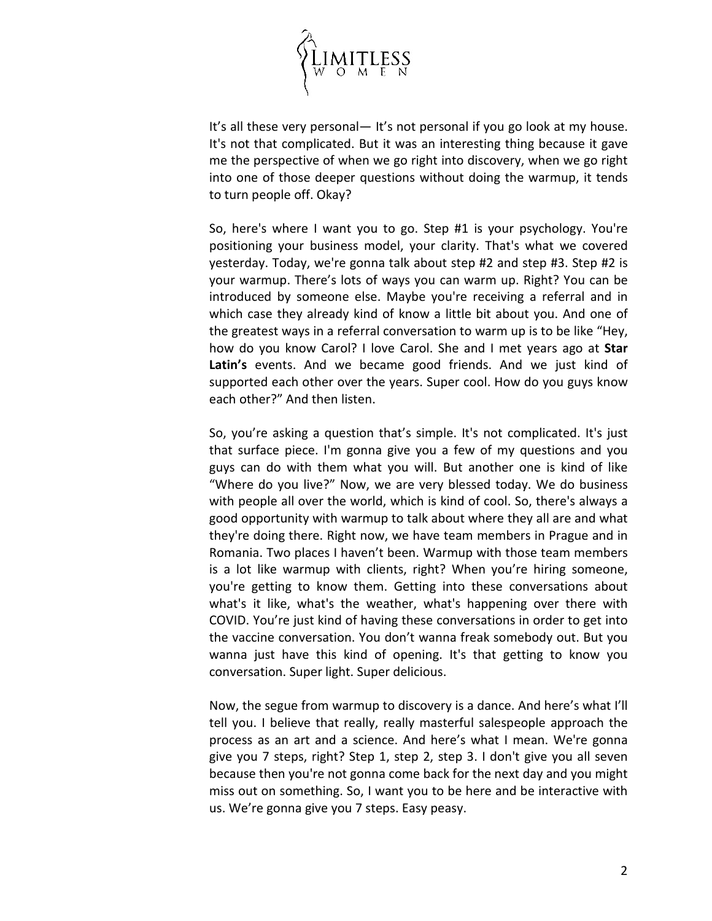

It's all these very personal— It's not personal if you go look at my house. It's not that complicated. But it was an interesting thing because it gave me the perspective of when we go right into discovery, when we go right into one of those deeper questions without doing the warmup, it tends to turn people off. Okay?

So, here's where I want you to go. Step #1 is your psychology. You're positioning your business model, your clarity. That's what we covered yesterday. Today, we're gonna talk about step #2 and step #3. Step #2 is your warmup. There's lots of ways you can warm up. Right? You can be introduced by someone else. Maybe you're receiving a referral and in which case they already kind of know a little bit about you. And one of the greatest ways in a referral conversation to warm up is to be like "Hey, how do you know Carol? I love Carol. She and I met years ago at **Star Latin's** events. And we became good friends. And we just kind of supported each other over the years. Super cool. How do you guys know each other?" And then listen.

So, you're asking a question that's simple. It's not complicated. It's just that surface piece. I'm gonna give you a few of my questions and you guys can do with them what you will. But another one is kind of like "Where do you live?" Now, we are very blessed today. We do business with people all over the world, which is kind of cool. So, there's always a good opportunity with warmup to talk about where they all are and what they're doing there. Right now, we have team members in Prague and in Romania. Two places I haven't been. Warmup with those team members is a lot like warmup with clients, right? When you're hiring someone, you're getting to know them. Getting into these conversations about what's it like, what's the weather, what's happening over there with COVID. You're just kind of having these conversations in order to get into the vaccine conversation. You don't wanna freak somebody out. But you wanna just have this kind of opening. It's that getting to know you conversation. Super light. Super delicious.

Now, the segue from warmup to discovery is a dance. And here's what I'll tell you. I believe that really, really masterful salespeople approach the process as an art and a science. And here's what I mean. We're gonna give you 7 steps, right? Step 1, step 2, step 3. I don't give you all seven because then you're not gonna come back for the next day and you might miss out on something. So, I want you to be here and be interactive with us. We're gonna give you 7 steps. Easy peasy.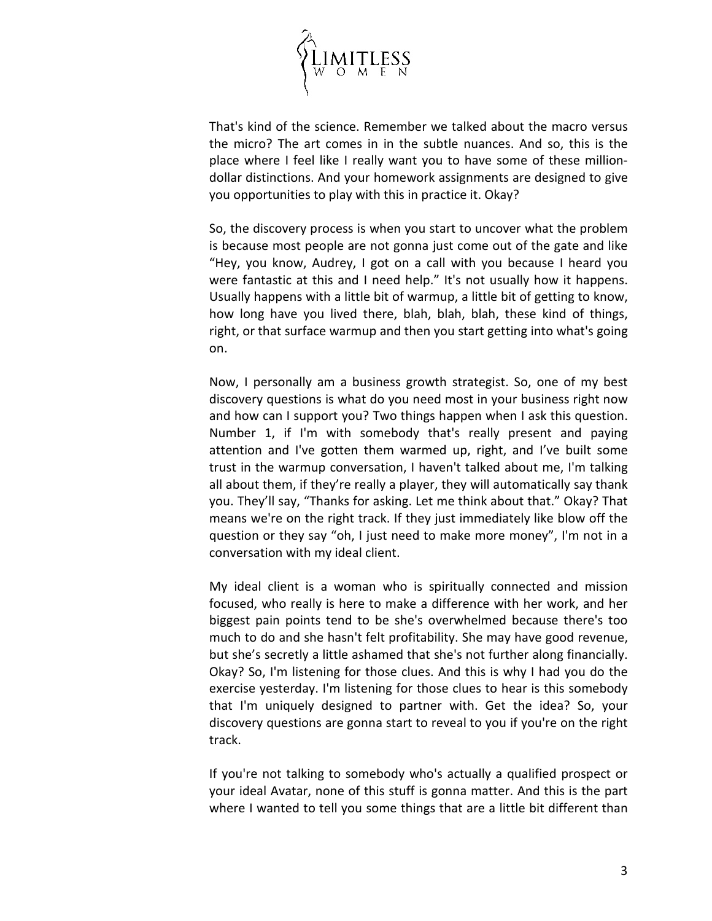

That's kind of the science. Remember we talked about the macro versus the micro? The art comes in in the subtle nuances. And so, this is the place where I feel like I really want you to have some of these milliondollar distinctions. And your homework assignments are designed to give you opportunities to play with this in practice it. Okay?

So, the discovery process is when you start to uncover what the problem is because most people are not gonna just come out of the gate and like "Hey, you know, Audrey, I got on a call with you because I heard you were fantastic at this and I need help." It's not usually how it happens. Usually happens with a little bit of warmup, a little bit of getting to know, how long have you lived there, blah, blah, blah, these kind of things, right, or that surface warmup and then you start getting into what's going on.

Now, I personally am a business growth strategist. So, one of my best discovery questions is what do you need most in your business right now and how can I support you? Two things happen when I ask this question. Number 1, if I'm with somebody that's really present and paying attention and I've gotten them warmed up, right, and I've built some trust in the warmup conversation, I haven't talked about me, I'm talking all about them, if they're really a player, they will automatically say thank you. They'll say, "Thanks for asking. Let me think about that." Okay? That means we're on the right track. If they just immediately like blow off the question or they say "oh, I just need to make more money", I'm not in a conversation with my ideal client.

My ideal client is a woman who is spiritually connected and mission focused, who really is here to make a difference with her work, and her biggest pain points tend to be she's overwhelmed because there's too much to do and she hasn't felt profitability. She may have good revenue, but she's secretly a little ashamed that she's not further along financially. Okay? So, I'm listening for those clues. And this is why I had you do the exercise yesterday. I'm listening for those clues to hear is this somebody that I'm uniquely designed to partner with. Get the idea? So, your discovery questions are gonna start to reveal to you if you're on the right track.

If you're not talking to somebody who's actually a qualified prospect or your ideal Avatar, none of this stuff is gonna matter. And this is the part where I wanted to tell you some things that are a little bit different than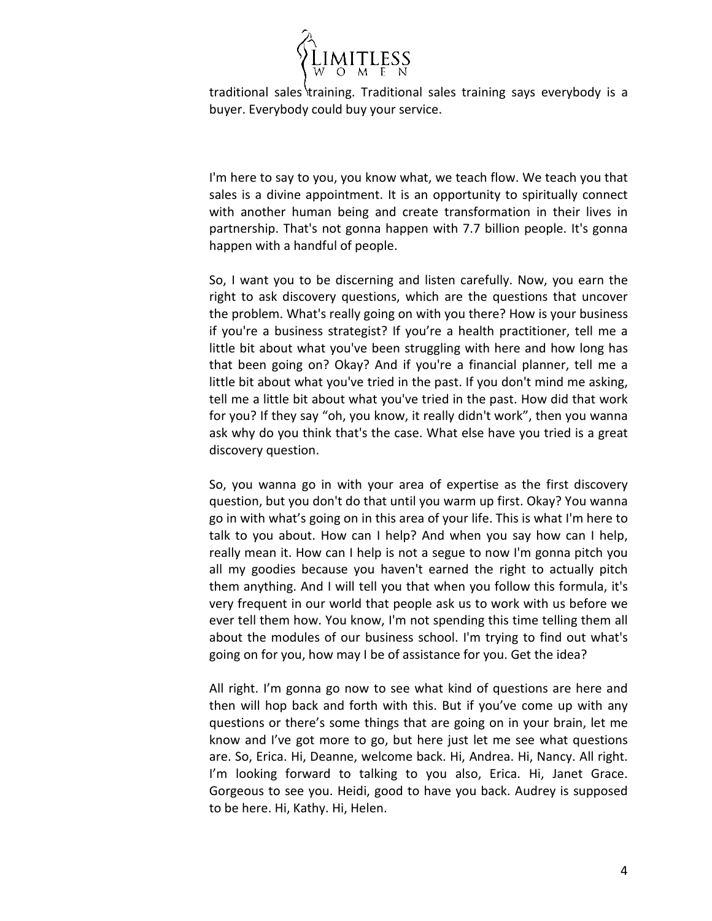

traditional sales training. Traditional sales training says everybody is a buyer. Everybody could buy your service.

I'm here to say to you, you know what, we teach flow. We teach you that sales is a divine appointment. It is an opportunity to spiritually connect with another human being and create transformation in their lives in partnership. That's not gonna happen with 7.7 billion people. It's gonna happen with a handful of people.

So, I want you to be discerning and listen carefully. Now, you earn the right to ask discovery questions, which are the questions that uncover the problem. What's really going on with you there? How is your business if you're a business strategist? If you're a health practitioner, tell me a little bit about what you've been struggling with here and how long has that been going on? Okay? And if you're a financial planner, tell me a little bit about what you've tried in the past. If you don't mind me asking, tell me a little bit about what you've tried in the past. How did that work for you? If they say "oh, you know, it really didn't work", then you wanna ask why do you think that's the case. What else have you tried is a great discovery question.

So, you wanna go in with your area of expertise as the first discovery question, but you don't do that until you warm up first. Okay? You wanna go in with what's going on in this area of your life. This is what I'm here to talk to you about. How can I help? And when you say how can I help, really mean it. How can I help is not a segue to now I'm gonna pitch you all my goodies because you haven't earned the right to actually pitch them anything. And I will tell you that when you follow this formula, it's very frequent in our world that people ask us to work with us before we ever tell them how. You know, I'm not spending this time telling them all about the modules of our business school. I'm trying to find out what's going on for you, how may I be of assistance for you. Get the idea?

All right. I'm gonna go now to see what kind of questions are here and then will hop back and forth with this. But if you've come up with any questions or there's some things that are going on in your brain, let me know and I've got more to go, but here just let me see what questions are. So, Erica. Hi, Deanne, welcome back. Hi, Andrea. Hi, Nancy. All right. I'm looking forward to talking to you also, Erica. Hi, Janet Grace. Gorgeous to see you. Heidi, good to have you back. Audrey is supposed to be here. Hi, Kathy. Hi, Helen.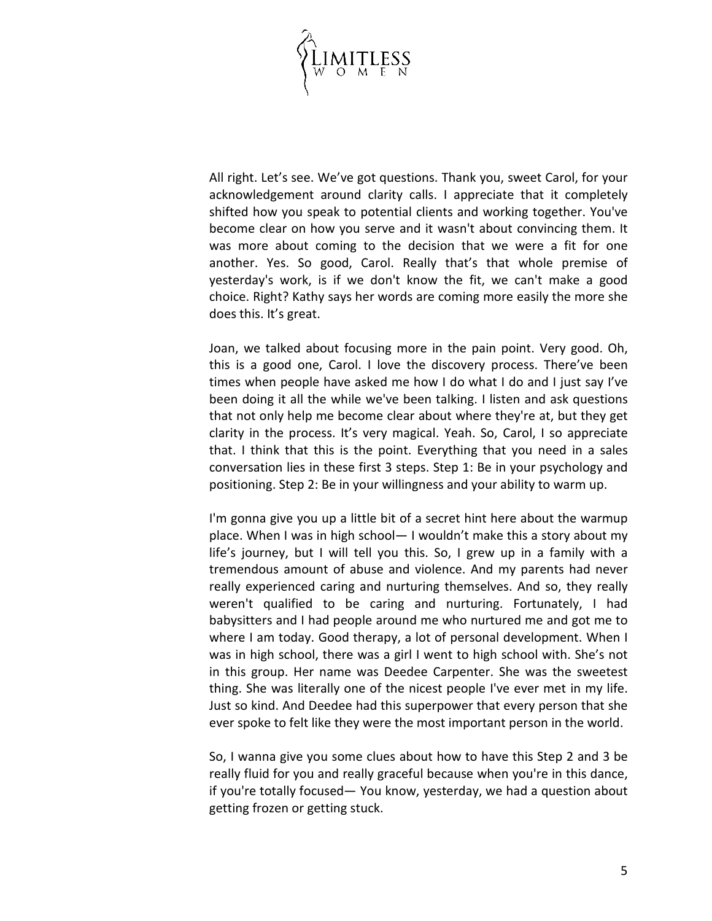

All right. Let's see. We've got questions. Thank you, sweet Carol, for your acknowledgement around clarity calls. I appreciate that it completely shifted how you speak to potential clients and working together. You've become clear on how you serve and it wasn't about convincing them. It was more about coming to the decision that we were a fit for one another. Yes. So good, Carol. Really that's that whole premise of yesterday's work, is if we don't know the fit, we can't make a good choice. Right? Kathy says her words are coming more easily the more she does this. It's great.

Joan, we talked about focusing more in the pain point. Very good. Oh, this is a good one, Carol. I love the discovery process. There've been times when people have asked me how I do what I do and I just say I've been doing it all the while we've been talking. I listen and ask questions that not only help me become clear about where they're at, but they get clarity in the process. It's very magical. Yeah. So, Carol, I so appreciate that. I think that this is the point. Everything that you need in a sales conversation lies in these first 3 steps. Step 1: Be in your psychology and positioning. Step 2: Be in your willingness and your ability to warm up.

I'm gonna give you up a little bit of a secret hint here about the warmup place. When I was in high school— I wouldn't make this a story about my life's journey, but I will tell you this. So, I grew up in a family with a tremendous amount of abuse and violence. And my parents had never really experienced caring and nurturing themselves. And so, they really weren't qualified to be caring and nurturing. Fortunately, I had babysitters and I had people around me who nurtured me and got me to where I am today. Good therapy, a lot of personal development. When I was in high school, there was a girl I went to high school with. She's not in this group. Her name was Deedee Carpenter. She was the sweetest thing. She was literally one of the nicest people I've ever met in my life. Just so kind. And Deedee had this superpower that every person that she ever spoke to felt like they were the most important person in the world.

So, I wanna give you some clues about how to have this Step 2 and 3 be really fluid for you and really graceful because when you're in this dance, if you're totally focused— You know, yesterday, we had a question about getting frozen or getting stuck.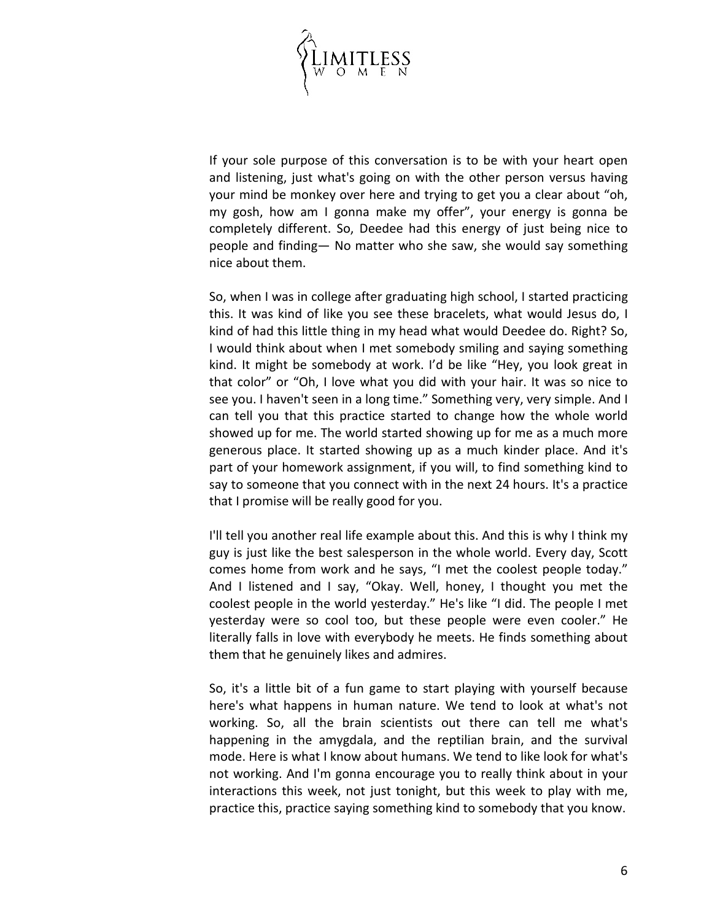

If your sole purpose of this conversation is to be with your heart open and listening, just what's going on with the other person versus having your mind be monkey over here and trying to get you a clear about "oh, my gosh, how am I gonna make my offer", your energy is gonna be completely different. So, Deedee had this energy of just being nice to people and finding— No matter who she saw, she would say something nice about them.

So, when I was in college after graduating high school, I started practicing this. It was kind of like you see these bracelets, what would Jesus do, I kind of had this little thing in my head what would Deedee do. Right? So, I would think about when I met somebody smiling and saying something kind. It might be somebody at work. I'd be like "Hey, you look great in that color" or "Oh, I love what you did with your hair. It was so nice to see you. I haven't seen in a long time." Something very, very simple. And I can tell you that this practice started to change how the whole world showed up for me. The world started showing up for me as a much more generous place. It started showing up as a much kinder place. And it's part of your homework assignment, if you will, to find something kind to say to someone that you connect with in the next 24 hours. It's a practice that I promise will be really good for you.

I'll tell you another real life example about this. And this is why I think my guy is just like the best salesperson in the whole world. Every day, Scott comes home from work and he says, "I met the coolest people today." And I listened and I say, "Okay. Well, honey, I thought you met the coolest people in the world yesterday." He's like "I did. The people I met yesterday were so cool too, but these people were even cooler." He literally falls in love with everybody he meets. He finds something about them that he genuinely likes and admires.

So, it's a little bit of a fun game to start playing with yourself because here's what happens in human nature. We tend to look at what's not working. So, all the brain scientists out there can tell me what's happening in the amygdala, and the reptilian brain, and the survival mode. Here is what I know about humans. We tend to like look for what's not working. And I'm gonna encourage you to really think about in your interactions this week, not just tonight, but this week to play with me, practice this, practice saying something kind to somebody that you know.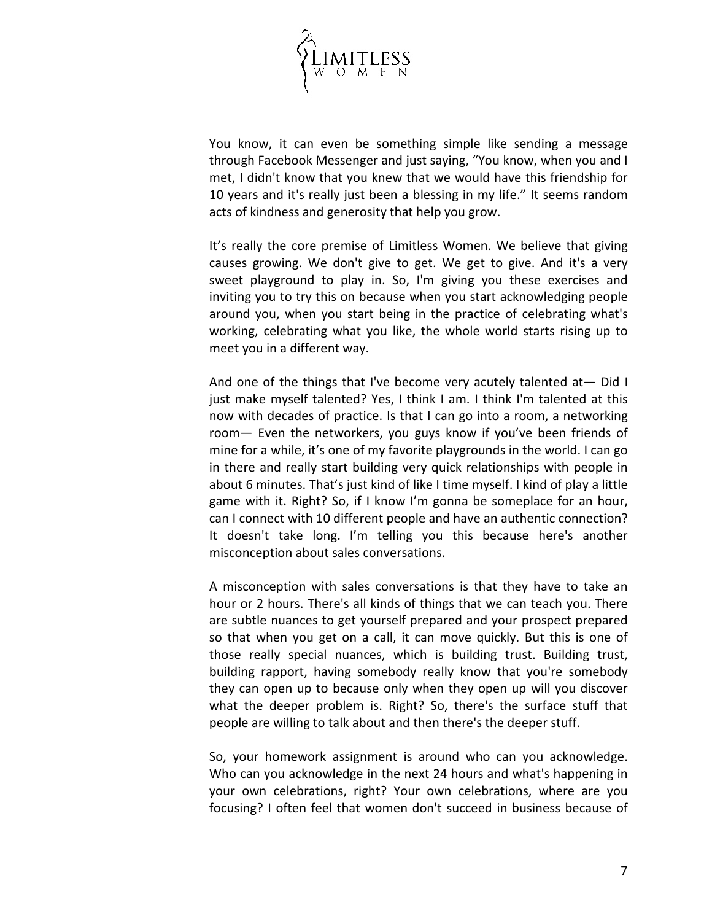

You know, it can even be something simple like sending a message through Facebook Messenger and just saying, "You know, when you and I met, I didn't know that you knew that we would have this friendship for 10 years and it's really just been a blessing in my life." It seems random acts of kindness and generosity that help you grow.

It's really the core premise of Limitless Women. We believe that giving causes growing. We don't give to get. We get to give. And it's a very sweet playground to play in. So, I'm giving you these exercises and inviting you to try this on because when you start acknowledging people around you, when you start being in the practice of celebrating what's working, celebrating what you like, the whole world starts rising up to meet you in a different way.

And one of the things that I've become very acutely talented at— Did I just make myself talented? Yes, I think I am. I think I'm talented at this now with decades of practice. Is that I can go into a room, a networking room— Even the networkers, you guys know if you've been friends of mine for a while, it's one of my favorite playgrounds in the world. I can go in there and really start building very quick relationships with people in about 6 minutes. That's just kind of like I time myself. I kind of play a little game with it. Right? So, if I know I'm gonna be someplace for an hour, can I connect with 10 different people and have an authentic connection? It doesn't take long. I'm telling you this because here's another misconception about sales conversations.

A misconception with sales conversations is that they have to take an hour or 2 hours. There's all kinds of things that we can teach you. There are subtle nuances to get yourself prepared and your prospect prepared so that when you get on a call, it can move quickly. But this is one of those really special nuances, which is building trust. Building trust, building rapport, having somebody really know that you're somebody they can open up to because only when they open up will you discover what the deeper problem is. Right? So, there's the surface stuff that people are willing to talk about and then there's the deeper stuff.

So, your homework assignment is around who can you acknowledge. Who can you acknowledge in the next 24 hours and what's happening in your own celebrations, right? Your own celebrations, where are you focusing? I often feel that women don't succeed in business because of